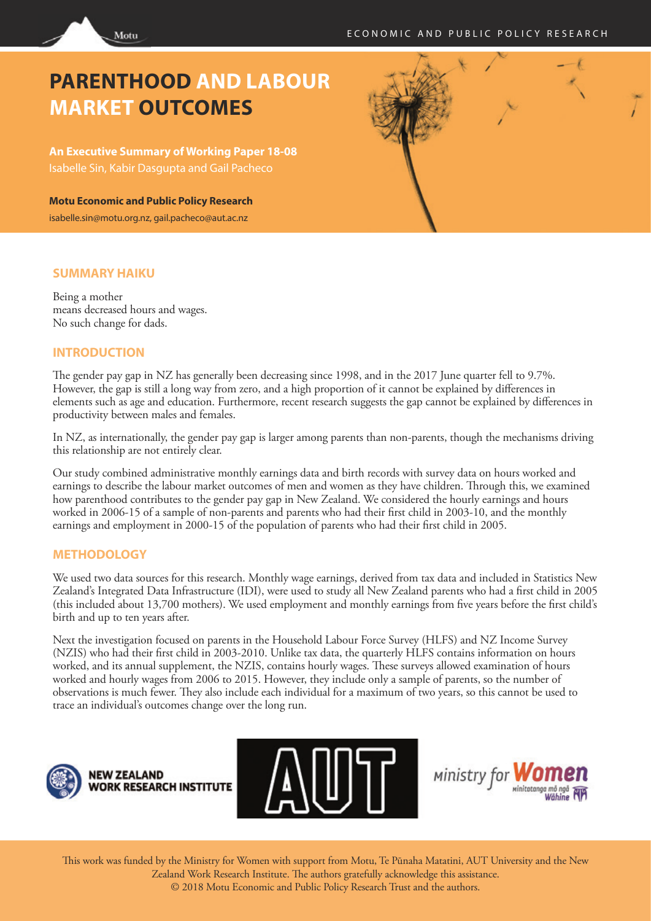# **PARENTHOOD AND LABOUR MARKET OUTCOMES**

**An Executive Summary of Working Paper 18-08** Isabelle Sin, Kabir Dasgupta and Gail Pacheco

**Motu Economic and Public Policy Research** isabelle.sin@motu.org.nz, gail.pacheco@aut.ac.nz



#### **SUMMARY HAIKU**

Being a mother means decreased hours and wages. No such change for dads.

Motu

#### **INTRODUCTION**

The gender pay gap in NZ has generally been decreasing since 1998, and in the 2017 June quarter fell to 9.7%. However, the gap is still a long way from zero, and a high proportion of it cannot be explained by differences in elements such as age and education. Furthermore, recent research suggests the gap cannot be explained by differences in productivity between males and females.

In NZ, as internationally, the gender pay gap is larger among parents than non-parents, though the mechanisms driving this relationship are not entirely clear.

Our study combined administrative monthly earnings data and birth records with survey data on hours worked and earnings to describe the labour market outcomes of men and women as they have children. Through this, we examined how parenthood contributes to the gender pay gap in New Zealand. We considered the hourly earnings and hours worked in 2006-15 of a sample of non-parents and parents who had their first child in 2003-10, and the monthly earnings and employment in 2000-15 of the population of parents who had their first child in 2005.

#### **METHODOLOGY**

We used two data sources for this research. Monthly wage earnings, derived from tax data and included in Statistics New Zealand's Integrated Data Infrastructure (IDI), were used to study all New Zealand parents who had a first child in 2005 (this included about 13,700 mothers). We used employment and monthly earnings from five years before the first child's birth and up to ten years after.

Next the investigation focused on parents in the Household Labour Force Survey (HLFS) and NZ Income Survey (NZIS) who had their first child in 2003-2010. Unlike tax data, the quarterly HLFS contains information on hours worked, and its annual supplement, the NZIS, contains hourly wages. These surveys allowed examination of hours worked and hourly wages from 2006 to 2015. However, they include only a sample of parents, so the number of observations is much fewer. They also include each individual for a maximum of two years, so this cannot be used to trace an individual's outcomes change over the long run.



NFW 7FAI AND **RESEARCH INSTITUTE** 





This work was funded by the Ministry for Women with support from Motu, Te Pūnaha Matatini, AUT University and the New Zealand Work Research Institute. The authors gratefully acknowledge this assistance. © 2018 Motu Economic and Public Policy Research Trust and the authors.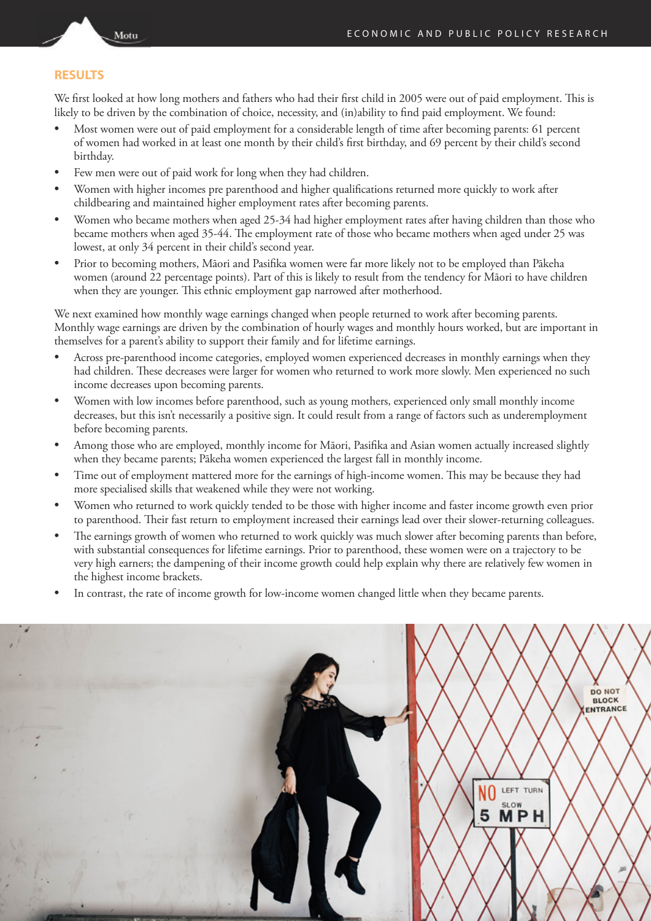#### **RESULTS**

Motu

We first looked at how long mothers and fathers who had their first child in 2005 were out of paid employment. This is likely to be driven by the combination of choice, necessity, and (in)ability to find paid employment. We found:

- Most women were out of paid employment for a considerable length of time after becoming parents: 61 percent of women had worked in at least one month by their child's first birthday, and 69 percent by their child's second birthday.
- Few men were out of paid work for long when they had children.
- Women with higher incomes pre parenthood and higher qualifications returned more quickly to work after childbearing and maintained higher employment rates after becoming parents.
- Women who became mothers when aged 25-34 had higher employment rates after having children than those who became mothers when aged 35-44. The employment rate of those who became mothers when aged under 25 was lowest, at only 34 percent in their child's second year.
- Prior to becoming mothers, Māori and Pasifika women were far more likely not to be employed than Pākeha women (around 22 percentage points). Part of this is likely to result from the tendency for Māori to have children when they are younger. This ethnic employment gap narrowed after motherhood.

We next examined how monthly wage earnings changed when people returned to work after becoming parents. Monthly wage earnings are driven by the combination of hourly wages and monthly hours worked, but are important in themselves for a parent's ability to support their family and for lifetime earnings.

- Across pre-parenthood income categories, employed women experienced decreases in monthly earnings when they had children. These decreases were larger for women who returned to work more slowly. Men experienced no such income decreases upon becoming parents.
- Women with low incomes before parenthood, such as young mothers, experienced only small monthly income decreases, but this isn't necessarily a positive sign. It could result from a range of factors such as underemployment before becoming parents.
- Among those who are employed, monthly income for Māori, Pasifika and Asian women actually increased slightly when they became parents; Pākeha women experienced the largest fall in monthly income.
- Time out of employment mattered more for the earnings of high-income women. This may be because they had more specialised skills that weakened while they were not working.
- Women who returned to work quickly tended to be those with higher income and faster income growth even prior to parenthood. Their fast return to employment increased their earnings lead over their slower-returning colleagues.
- The earnings growth of women who returned to work quickly was much slower after becoming parents than before, with substantial consequences for lifetime earnings. Prior to parenthood, these women were on a trajectory to be very high earners; the dampening of their income growth could help explain why there are relatively few women in the highest income brackets.
- In contrast, the rate of income growth for low-income women changed little when they became parents.

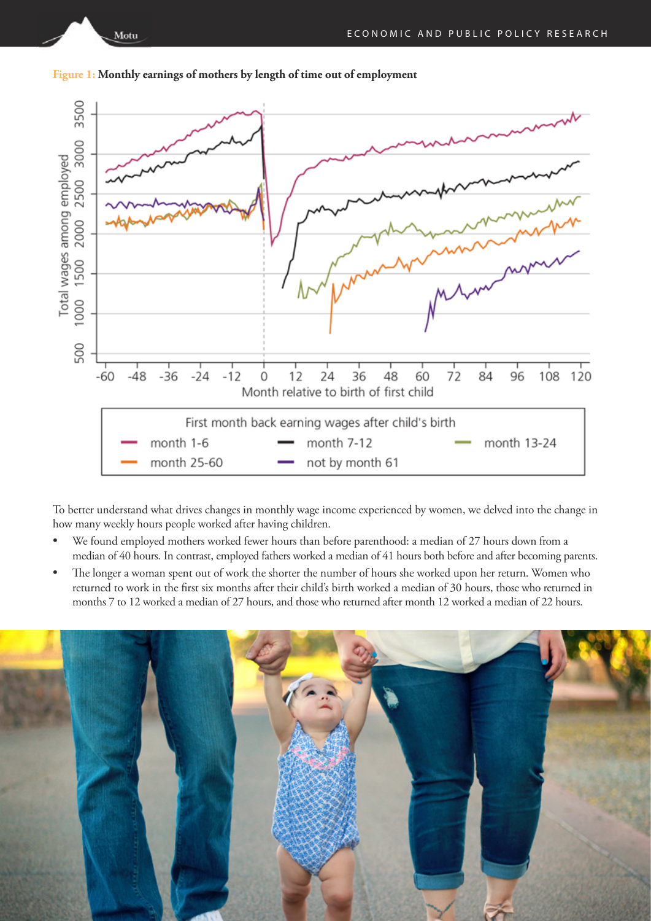

**Figure 1: Monthly earnings of mothers by length of time out of employment**

Motu

To better understand what drives changes in monthly wage income experienced by women, we delved into the change in how many weekly hours people worked after having children.

- We found employed mothers worked fewer hours than before parenthood: a median of 27 hours down from a median of 40 hours. In contrast, employed fathers worked a median of 41 hours both before and after becoming parents.
- The longer a woman spent out of work the shorter the number of hours she worked upon her return. Women who returned to work in the first six months after their child's birth worked a median of 30 hours, those who returned in months 7 to 12 worked a median of 27 hours, and those who returned after month 12 worked a median of 22 hours.

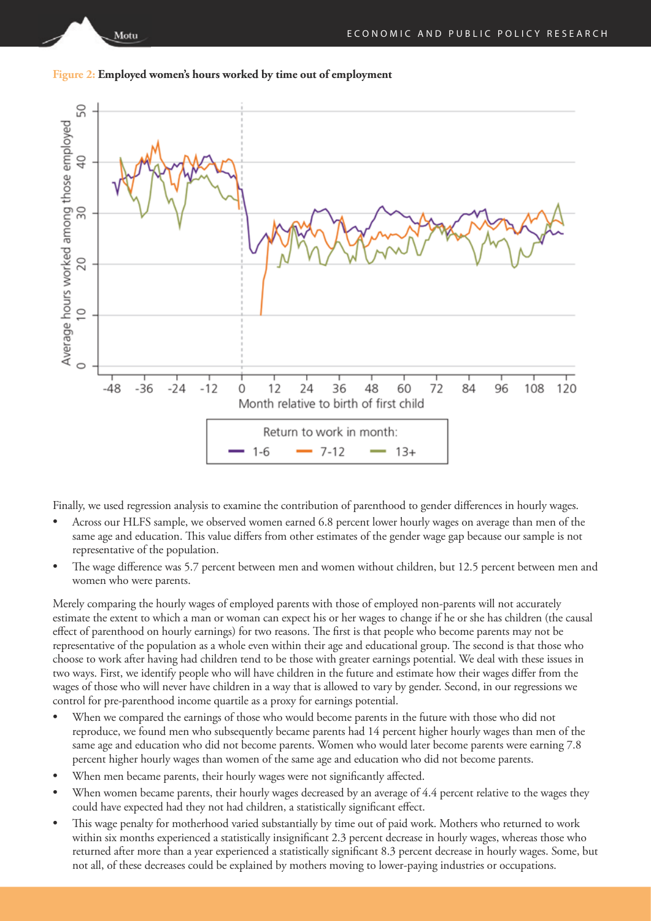

Motu



Finally, we used regression analysis to examine the contribution of parenthood to gender differences in hourly wages.

- Across our HLFS sample, we observed women earned 6.8 percent lower hourly wages on average than men of the same age and education. This value differs from other estimates of the gender wage gap because our sample is not representative of the population.
- The wage difference was 5.7 percent between men and women without children, but 12.5 percent between men and women who were parents.

Merely comparing the hourly wages of employed parents with those of employed non-parents will not accurately estimate the extent to which a man or woman can expect his or her wages to change if he or she has children (the causal effect of parenthood on hourly earnings) for two reasons. The first is that people who become parents may not be representative of the population as a whole even within their age and educational group. The second is that those who choose to work after having had children tend to be those with greater earnings potential. We deal with these issues in two ways. First, we identify people who will have children in the future and estimate how their wages differ from the wages of those who will never have children in a way that is allowed to vary by gender. Second, in our regressions we control for pre-parenthood income quartile as a proxy for earnings potential.

- When we compared the earnings of those who would become parents in the future with those who did not reproduce, we found men who subsequently became parents had 14 percent higher hourly wages than men of the same age and education who did not become parents. Women who would later become parents were earning 7.8 percent higher hourly wages than women of the same age and education who did not become parents.
- When men became parents, their hourly wages were not significantly affected.
- When women became parents, their hourly wages decreased by an average of 4.4 percent relative to the wages they could have expected had they not had children, a statistically significant effect.
- This wage penalty for motherhood varied substantially by time out of paid work. Mothers who returned to work within six months experienced a statistically insignificant 2.3 percent decrease in hourly wages, whereas those who returned after more than a year experienced a statistically significant 8.3 percent decrease in hourly wages. Some, but not all, of these decreases could be explained by mothers moving to lower-paying industries or occupations.